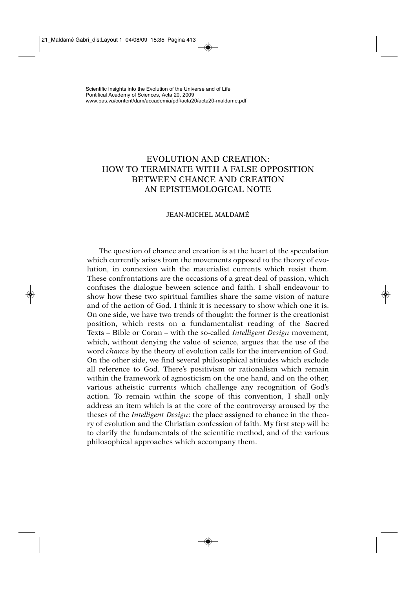# EVOLUTION AND CREATION: HOW TO TERMINATE WITH A FALSE OPPOSITION BETWEEN CHANCE AND CREATION AN EPISTEMOLOGICAL NOTE

# JEAN-MICHEL MALDAMÉ

The question of chance and creation is at the heart of the speculation which currently arises from the movements opposed to the theory of evolution, in connexion with the materialist currents which resist them. These confrontations are the occasions of a great deal of passion, which confuses the dialogue beween science and faith. I shall endeavour to show how these two spiritual families share the same vision of nature and of the action of God. I think it is necessary to show which one it is. On one side, we have two trends of thought: the former is the creationist position, which rests on a fundamentalist reading of the Sacred Texts – Bible or Coran – with the so-called *Intelligent Design* movement, which, without denying the value of science, argues that the use of the word *chance* by the theory of evolution calls for the intervention of God. On the other side, we find several philosophical attitudes which exclude all reference to God. There's positivism or rationalism which remain within the framework of agnosticism on the one hand, and on the other, various atheistic currents which challenge any recognition of God's action. To remain within the scope of this convention, I shall only address an item which is at the core of the controversy aroused by the theses of the *Intelligent Design*: the place assigned to chance in the theory of evolution and the Christian confession of faith. My first step will be to clarify the fundamentals of the scientific method, and of the various philosophical approaches which accompany them.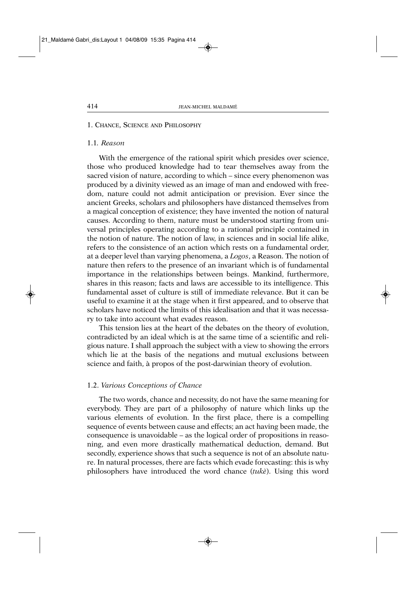#### 1. CHANCE, SCIENCE AND PHILOSOPHY

### 1.1*. Reason*

With the emergence of the rational spirit which presides over science, those who produced knowledge had to tear themselves away from the sacred vision of nature, according to which – since every phenomenon was produced by a divinity viewed as an image of man and endowed with freedom, nature could not admit anticipation or prevision. Ever since the ancient Greeks, scholars and philosophers have distanced themselves from a magical conception of existence; they have invented the notion of natural causes. According to them, nature must be understood starting from universal principles operating according to a rational principle contained in the notion of nature. The notion of law, in sciences and in social life alike, refers to the consistence of an action which rests on a fundamental order, at a deeper level than varying phenomena, a *Logos*, a Reason. The notion of nature then refers to the presence of an invariant which is of fundamental importance in the relationships between beings. Mankind, furthermore, shares in this reason; facts and laws are accessible to its intelligence. This fundamental asset of culture is still of immediate relevance. But it can be useful to examine it at the stage when it first appeared, and to observe that scholars have noticed the limits of this idealisation and that it was necessary to take into account what evades reason.

This tension lies at the heart of the debates on the theory of evolution, contradicted by an ideal which is at the same time of a scientific and religious nature. I shall approach the subject with a view to showing the errors which lie at the basis of the negations and mutual exclusions between science and faith, à propos of the post-darwinian theory of evolution.

# 1.2. *Various Conceptions of Chance*

The two words, chance and necessity, do not have the same meaning for everybody. They are part of a philosophy of nature which links up the various elements of evolution. In the first place, there is a compelling sequence of events between cause and effects; an act having been made, the consequence is unavoidable – as the logical order of propositions in reasoning, and even more drastically mathematical deduction, demand. But secondly, experience shows that such a sequence is not of an absolute nature. In natural processes, there are facts which evade forecasting: this is why philosophers have introduced the word chance (*tukè*). Using this word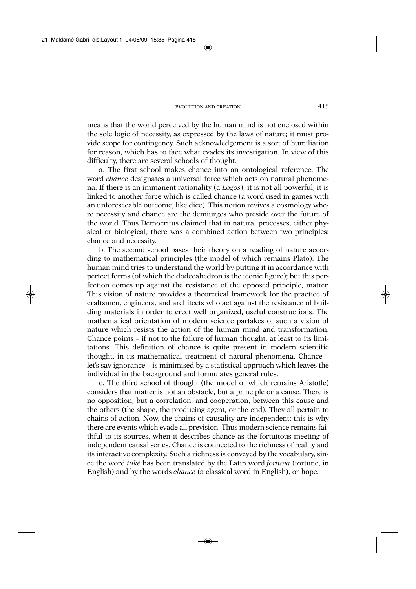means that the world perceived by the human mind is not enclosed within the sole logic of necessity, as expressed by the laws of nature; it must provide scope for contingency. Such acknowledgement is a sort of humiliation for reason, which has to face what evades its investigation. In view of this difficulty, there are several schools of thought.

a. The first school makes chance into an ontological reference. The word *chance* designates a universal force which acts on natural phenomena. If there is an immanent rationality (a *Logos*), it is not all powerful; it is linked to another force which is called chance (a word used in games with an unforeseeable outcome, like dice). This notion revives a cosmology where necessity and chance are the demiurges who preside over the future of the world. Thus Democritus claimed that in natural processes, either physical or biological, there was a combined action between two principles: chance and necessity.

b. The second school bases their theory on a reading of nature according to mathematical principles (the model of which remains Plato). The human mind tries to understand the world by putting it in accordance with perfect forms (of which the dodecahedron is the iconic figure); but this perfection comes up against the resistance of the opposed principle, matter. This vision of nature provides a theoretical framework for the practice of craftsmen, engineers, and architects who act against the resistance of building materials in order to erect well organized, useful constructions. The mathematical orientation of modern science partakes of such a vision of nature which resists the action of the human mind and transformation. Chance points – if not to the failure of human thought, at least to its limitations. This definition of chance is quite present in modern scientific thought, in its mathematical treatment of natural phenomena. Chance – let's say ignorance – is minimised by a statistical approach which leaves the individual in the background and formulates general rules.

c. The third school of thought (the model of which remains Aristotle) considers that matter is not an obstacle, but a principle or a cause. There is no opposition, but a correlation, and cooperation, between this cause and the others (the shape, the producing agent, or the end). They all pertain to chains of action. Now, the chains of causality are independent; this is why there are events which evade all prevision. Thus modern science remains faithful to its sources, when it describes chance as the fortuitous meeting of independent causal series. Chance is connected to the richness of reality and its interactive complexity. Such a richness is conveyed by the vocabulary, since the word *tukè* has been translated by the Latin word *fortuna* (fortune, in English) and by the words *chance* (a classical word in English), or hope.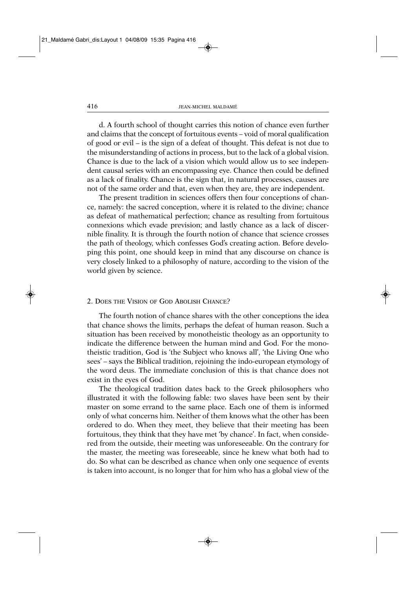d. A fourth school of thought carries this notion of chance even further and claims that the concept of fortuitous events – void of moral qualification of good or evil – is the sign of a defeat of thought. This defeat is not due to the misunderstanding of actions in process, but to the lack of a global vision. Chance is due to the lack of a vision which would allow us to see independent causal series with an encompassing eye. Chance then could be defined as a lack of finality. Chance is the sign that, in natural processes, causes are not of the same order and that, even when they are, they are independent.

The present tradition in sciences offers then four conceptions of chance, namely: the sacred conception, where it is related to the divine; chance as defeat of mathematical perfection; chance as resulting from fortuitous connexions which evade prevision; and lastly chance as a lack of discernible finality. It is through the fourth notion of chance that science crosses the path of theology, which confesses God's creating action. Before developing this point, one should keep in mind that any discourse on chance is very closely linked to a philosophy of nature, according to the vision of the world given by science.

## 2. DOES THE VISION OF GOD ABOLISH CHANCE?

The fourth notion of chance shares with the other conceptions the idea that chance shows the limits, perhaps the defeat of human reason. Such a situation has been received by monotheistic theology as an opportunity to indicate the difference between the human mind and God. For the monotheistic tradition, God is 'the Subject who knows all', 'the Living One who sees' – says the Biblical tradition, rejoining the indo-european etymology of the word deus. The immediate conclusion of this is that chance does not exist in the eyes of God.

The theological tradition dates back to the Greek philosophers who illustrated it with the following fable: two slaves have been sent by their master on some errand to the same place. Each one of them is informed only of what concerns him. Neither of them knows what the other has been ordered to do. When they meet, they believe that their meeting has been fortuitous, they think that they have met 'by chance'. In fact, when considered from the outside, their meeting was unforeseeable. On the contrary for the master, the meeting was foreseeable, since he knew what both had to do. So what can be described as chance when only one sequence of events is taken into account, is no longer that for him who has a global view of the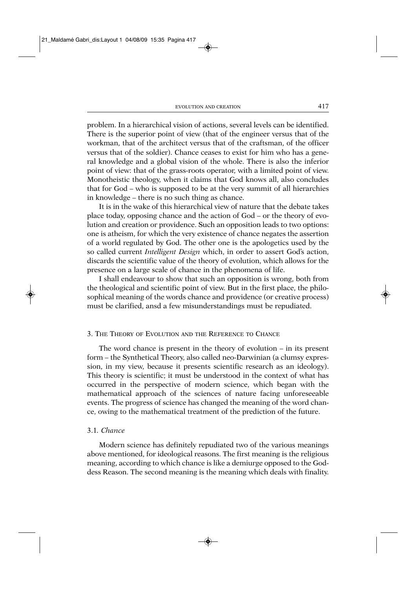problem. In a hierarchical vision of actions, several levels can be identified. There is the superior point of view (that of the engineer versus that of the workman, that of the architect versus that of the craftsman, of the officer versus that of the soldier). Chance ceases to exist for him who has a general knowledge and a global vision of the whole. There is also the inferior point of view: that of the grass-roots operator, with a limited point of view. Monotheistic theology, when it claims that God knows all, also concludes that for God – who is supposed to be at the very summit of all hierarchies in knowledge – there is no such thing as chance.

It is in the wake of this hierarchical view of nature that the debate takes place today, opposing chance and the action of God – or the theory of evolution and creation or providence. Such an opposition leads to two options: one is atheism, for which the very existence of chance negates the assertion of a world regulated by God. The other one is the apologetics used by the so called current *Intelligent Design* which, in order to assert God's action, discards the scientific value of the theory of evolution, which allows for the presence on a large scale of chance in the phenomena of life.

I shall endeavour to show that such an opposition is wrong, both from the theological and scientific point of view. But in the first place, the philosophical meaning of the words chance and providence (or creative process) must be clarified, ansd a few misunderstandings must be repudiated.

#### 3. THE THEORY OF EVOLUTION AND THE REFERENCE TO CHANCE

The word chance is present in the theory of evolution – in its present form – the Synthetical Theory, also called neo-Darwinian (a clumsy expression, in my view, because it presents scientific research as an ideology). This theory is scientific; it must be understood in the context of what has occurred in the perspective of modern science, which began with the mathematical approach of the sciences of nature facing unforeseeable events. The progress of science has changed the meaning of the word chance, owing to the mathematical treatment of the prediction of the future.

## 3.1*. Chance*

Modern science has definitely repudiated two of the various meanings above mentioned, for ideological reasons. The first meaning is the religious meaning, according to which chance is like a demiurge opposed to the Goddess Reason. The second meaning is the meaning which deals with finality.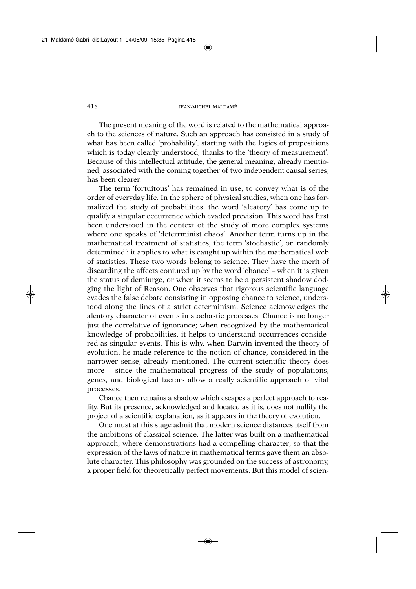The present meaning of the word is related to the mathematical approach to the sciences of nature. Such an approach has consisted in a study of what has been called 'probability', starting with the logics of propositions which is today clearly understood, thanks to the 'theory of measurement'. Because of this intellectual attitude, the general meaning, already mentioned, associated with the coming together of two independent causal series, has been clearer.

The term 'fortuitous' has remained in use, to convey what is of the order of everyday life. In the sphere of physical studies, when one has formalized the study of probabilities, the word 'aleatory' has come up to qualify a singular occurrence which evaded prevision. This word has first been understood in the context of the study of more complex systems where one speaks of 'deterrminist chaos'. Another term turns up in the mathematical treatment of statistics, the term 'stochastic', or 'randomly determined': it applies to what is caught up within the mathematical web of statistics. These two words belong to science. They have the merit of discarding the affects conjured up by the word 'chance' – when it is given the status of demiurge, or when it seems to be a persistent shadow dodging the light of Reason. One observes that rigorous scientific language evades the false debate consisting in opposing chance to science, understood along the lines of a strict determinism. Science acknowledges the aleatory character of events in stochastic processes. Chance is no longer just the correlative of ignorance; when recognized by the mathematical knowledge of probabilities, it helps to understand occurrences considered as singular events. This is why, when Darwin invented the theory of evolution, he made reference to the notion of chance, considered in the narrower sense, already mentioned. The current scientific theory does more – since the mathematical progress of the study of populations, genes, and biological factors allow a really scientific approach of vital processes.

Chance then remains a shadow which escapes a perfect approach to reality. But its presence, acknowledged and located as it is, does not nullify the project of a scientific explanation, as it appears in the theory of evolution.

One must at this stage admit that modern science distances itself from the ambitions of classical science. The latter was built on a mathematical approach, where demonstrations had a compelling character; so that the expression of the laws of nature in mathematical terms gave them an absolute character. This philosophy was grounded on the success of astronomy, a proper field for theoretically perfect movements. But this model of scien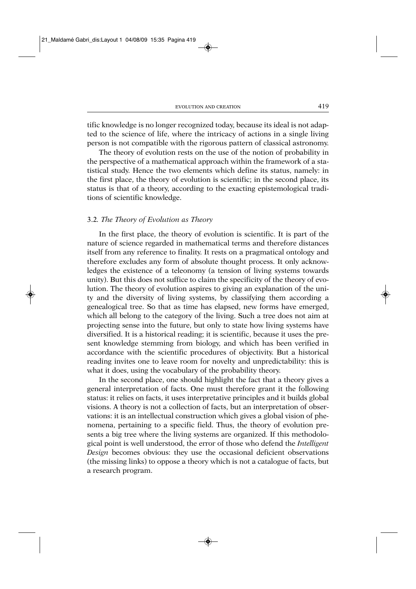tific knowledge is no longer recognized today, because its ideal is not adapted to the science of life, where the intricacy of actions in a single living person is not compatible with the rigorous pattern of classical astronomy.

The theory of evolution rests on the use of the notion of probability in the perspective of a mathematical approach within the framework of a statistical study. Hence the two elements which define its status, namely: in the first place, the theory of evolution is scientific; in the second place, its status is that of a theory, according to the exacting epistemological traditions of scientific knowledge.

# 3.2*. The Theory of Evolution as Theory*

In the first place, the theory of evolution is scientific. It is part of the nature of science regarded in mathematical terms and therefore distances itself from any reference to finality. It rests on a pragmatical ontology and therefore excludes any form of absolute thought process. It only acknowledges the existence of a teleonomy (a tension of living systems towards unity). But this does not suffice to claim the specificity of the theory of evolution. The theory of evolution aspires to giving an explanation of the unity and the diversity of living systems, by classifying them according a genealogical tree. So that as time has elapsed, new forms have emerged, which all belong to the category of the living. Such a tree does not aim at projecting sense into the future, but only to state how living systems have diversified. It is a historical reading; it is scientific, because it uses the present knowledge stemming from biology, and which has been verified in accordance with the scientific procedures of objectivity. But a historical reading invites one to leave room for novelty and unpredictability: this is what it does, using the vocabulary of the probability theory.

In the second place, one should highlight the fact that a theory gives a general interpretation of facts. One must therefore grant it the following status: it relies on facts, it uses interpretative principles and it builds global visions. A theory is not a collection of facts, but an interpretation of observations: it is an intellectual construction which gives a global vision of phenomena, pertaining to a specific field. Thus, the theory of evolution presents a big tree where the living systems are organized. If this methodological point is well understood, the error of those who defend the *Intelligent Design* becomes obvious: they use the occasional deficient observations (the missing links) to oppose a theory which is not a catalogue of facts, but a research program.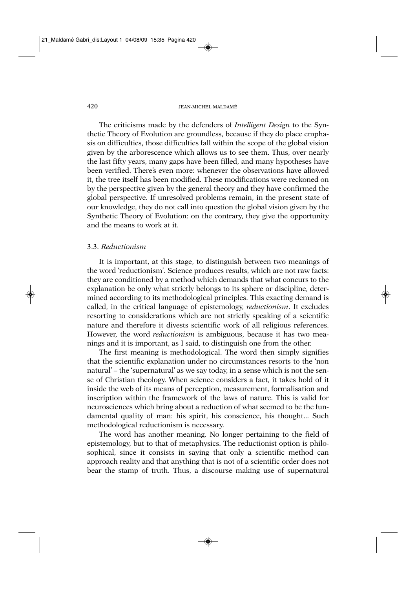The criticisms made by the defenders of *Intelligent Design* to the Synthetic Theory of Evolution are groundless, because if they do place emphasis on difficulties, those difficulties fall within the scope of the global vision given by the arborescence which allows us to see them. Thus, over nearly the last fifty years, many gaps have been filled, and many hypotheses have been verified. There's even more: whenever the observations have allowed it, the tree itself has been modified. These modifications were reckoned on by the perspective given by the general theory and they have confirmed the global perspective. If unresolved problems remain, in the present state of our knowledge, they do not call into question the global vision given by the Synthetic Theory of Evolution: on the contrary, they give the opportunity and the means to work at it.

## 3.3. *Reductionism*

It is important, at this stage, to distinguish between two meanings of the word 'reductionism'. Science produces results, which are not raw facts: they are conditioned by a method which demands that what concurs to the explanation be only what strictly belongs to its sphere or discipline, determined according to its methodological principles. This exacting demand is called, in the critical language of epistemology, *reductionism*. It excludes resorting to considerations which are not strictly speaking of a scientific nature and therefore it divests scientific work of all religious references. However, the word *reductionism* is ambiguous, because it has two meanings and it is important, as I said, to distinguish one from the other.

The first meaning is methodological. The word then simply signifies that the scientific explanation under no circumstances resorts to the 'non natural' – the 'supernatural' as we say today, in a sense which is not the sense of Christian theology. When science considers a fact, it takes hold of it inside the web of its means of perception, measurement, formalisation and inscription within the framework of the laws of nature. This is valid for neurosciences which bring about a reduction of what seemed to be the fundamental quality of man: his spirit, his conscience, his thought... Such methodological reductionism is necessary.

The word has another meaning. No longer pertaining to the field of epistemology, but to that of metaphysics. The reductionist option is philosophical, since it consists in saying that only a scientific method can approach reality and that anything that is not of a scientific order does not bear the stamp of truth. Thus, a discourse making use of supernatural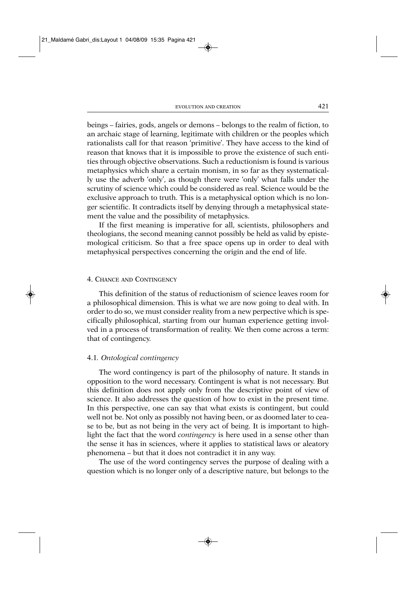beings – fairies, gods, angels or demons – belongs to the realm of fiction, to an archaic stage of learning, legitimate with children or the peoples which rationalists call for that reason 'primitive'. They have access to the kind of reason that knows that it is impossible to prove the existence of such entities through objective observations. Such a reductionism is found is various metaphysics which share a certain monism, in so far as they systematically use the adverb 'only', as though there were 'only' what falls under the scrutiny of science which could be considered as real. Science would be the exclusive approach to truth. This is a metaphysical option which is no longer scientific. It contradicts itself by denying through a metaphysical statement the value and the possibility of metaphysics.

If the first meaning is imperative for all, scientists, philosophers and theologians, the second meaning cannot possibly be held as valid by epistemological criticism. So that a free space opens up in order to deal with metaphysical perspectives concerning the origin and the end of life.

#### 4. CHANCE AND CONTINGENCY

This definition of the status of reductionism of science leaves room for a philosophical dimension. This is what we are now going to deal with. In order to do so, we must consider reality from a new perpective which is specifically philosophical, starting from our human experience getting involved in a process of transformation of reality. We then come across a term: that of contingency.

#### 4.1*. Ontological contingency*

The word contingency is part of the philosophy of nature. It stands in opposition to the word necessary. Contingent is what is not necessary. But this definition does not apply only from the descriptive point of view of science. It also addresses the question of how to exist in the present time. In this perspective, one can say that what exists is contingent, but could well not be. Not only as possibly not having been, or as doomed later to cease to be, but as not being in the very act of being. It is important to highlight the fact that the word *contingency* is here used in a sense other than the sense it has in sciences, where it applies to statistical laws or aleatory phenomena – but that it does not contradict it in any way.

The use of the word contingency serves the purpose of dealing with a question which is no longer only of a descriptive nature, but belongs to the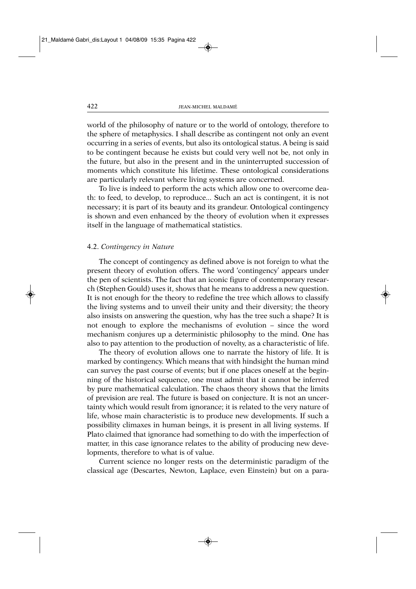world of the philosophy of nature or to the world of ontology, therefore to the sphere of metaphysics. I shall describe as contingent not only an event occurring in a series of events, but also its ontological status. A being is said to be contingent because he exists but could very well not be, not only in the future, but also in the present and in the uninterrupted succession of moments which constitute his lifetime. These ontological considerations are particularly relevant where living systems are concerned.

To live is indeed to perform the acts which allow one to overcome death: to feed, to develop, to reproduce... Such an act is contingent, it is not necessary; it is part of its beauty and its grandeur. Ontological contingency is shown and even enhanced by the theory of evolution when it expresses itself in the language of mathematical statistics.

#### 4.2. *Contingency in Nature*

The concept of contingency as defined above is not foreign to what the present theory of evolution offers. The word 'contingency' appears under the pen of scientists. The fact that an iconic figure of contemporary research (Stephen Gould) uses it, shows that he means to address a new question. It is not enough for the theory to redefine the tree which allows to classify the living systems and to unveil their unity and their diversity; the theory also insists on answering the question, why has the tree such a shape? It is not enough to explore the mechanisms of evolution – since the word mechanism conjures up a deterministic philosophy to the mind. One has also to pay attention to the production of novelty, as a characteristic of life.

The theory of evolution allows one to narrate the history of life. It is marked by contingency. Which means that with hindsight the human mind can survey the past course of events; but if one places oneself at the beginning of the historical sequence, one must admit that it cannot be inferred by pure mathematical calculation. The chaos theory shows that the limits of prevision are real. The future is based on conjecture. It is not an uncertainty which would result from ignorance; it is related to the very nature of life, whose main characteristic is to produce new developments. If such a possibility climaxes in human beings, it is present in all living systems. If Plato claimed that ignorance had something to do with the imperfection of matter, in this case ignorance relates to the ability of producing new developments, therefore to what is of value.

Current science no longer rests on the deterministic paradigm of the classical age (Descartes, Newton, Laplace, even Einstein) but on a para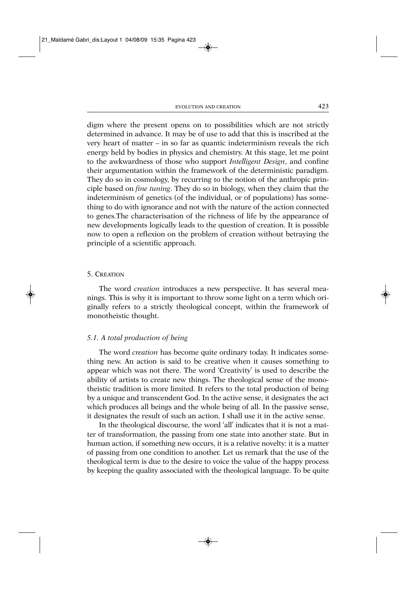digm where the present opens on to possibilities which are not strictly determined in advance. It may be of use to add that this is inscribed at the very heart of matter – in so far as quantic indeterminism reveals the rich energy held by bodies in physics and chemistry. At this stage, let me point to the awkwardness of those who support *Intelligent Design*, and confine their argumentation within the framework of the deterministic paradigm. They do so in cosmology, by recurring to the notion of the anthropic principle based on *fine tuning*. They do so in biology, when they claim that the indeterminism of genetics (of the individual, or of populations) has something to do with ignorance and not with the nature of the action connected to genes.The characterisation of the richness of life by the appearance of new developments logically leads to the question of creation. It is possible now to open a reflexion on the problem of creation without betraying the principle of a scientific approach.

#### 5. CREATION

The word *creation* introduces a new perspective. It has several meanings. This is why it is important to throw some light on a term which originally refers to a strictly theological concept, within the framework of monotheistic thought.

#### *5.1. A total production of being*

The word *creation* has become quite ordinary today. It indicates something new. An action is said to be creative when it causes something to appear which was not there. The word 'Creativity' is used to describe the ability of artists to create new things. The theological sense of the monotheistic tradition is more limited. It refers to the total production of being by a unique and transcendent God. In the active sense, it designates the act which produces all beings and the whole being of all. In the passive sense, it designates the result of such an action. I shall use it in the active sense.

In the theological discourse, the word 'all' indicates that it is not a matter of transformation, the passing from one state into another state. But in human action, if something new occurs, it is a relative novelty: it is a matter of passing from one condition to another. Let us remark that the use of the theological term is due to the desire to voice the value of the happy process by keeping the quality associated with the theological language. To be quite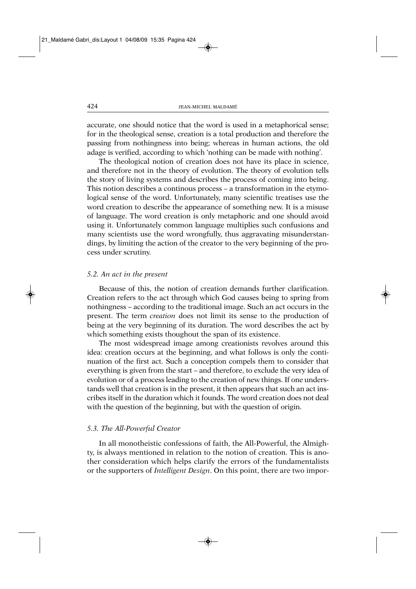accurate, one should notice that the word is used in a metaphorical sense; for in the theological sense, creation is a total production and therefore the passing from nothingness into being; whereas in human actions, the old adage is verified, according to which 'nothing can be made with nothing'.

The theological notion of creation does not have its place in science, and therefore not in the theory of evolution. The theory of evolution tells the story of living systems and describes the process of coming into being. This notion describes a continous process – a transformation in the etymological sense of the word. Unfortunately, many scientific treatises use the word creation to describe the appearance of something new. It is a misuse of language. The word creation is only metaphoric and one should avoid using it. Unfortunately common language multiplies such confusions and many scientists use the word wrongfully, thus aggravating misunderstandings, by limiting the action of the creator to the very beginning of the process under scrutiny.

#### *5.2. An act in the present*

Because of this, the notion of creation demands further clarification. Creation refers to the act through which God causes being to spring from nothingness – according to the traditional image. Such an act occurs in the present. The term *creation* does not limit its sense to the production of being at the very beginning of its duration. The word describes the act by which something exists thoughout the span of its existence.

The most widespread image among creationists revolves around this idea: creation occurs at the beginning, and what follows is only the continuation of the first act. Such a conception compels them to consider that everything is given from the start – and therefore, to exclude the very idea of evolution or of a process leading to the creation of new things. If one understands well that creation is in the present, it then appears that such an act inscribes itself in the duration which it founds. The word creation does not deal with the question of the beginning, but with the question of origin.

#### *5.3. The All-Powerful Creator*

In all monotheistic confessions of faith, the All-Powerful, the Almighty, is always mentioned in relation to the notion of creation. This is another consideration which helps clarify the errors of the fundamentalists or the supporters of *Intelligent Design*. On this point, there are two impor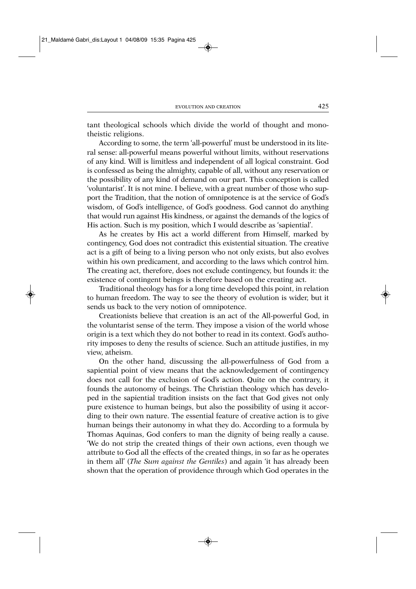tant theological schools which divide the world of thought and monotheistic religions.

According to some, the term 'all-powerful' must be understood in its literal sense: all-powerful means powerful without limits, without reservations of any kind. Will is limitless and independent of all logical constraint. God is confessed as being the almighty, capable of all, without any reservation or the possibility of any kind of demand on our part. This conception is called 'voluntarist'. It is not mine. I believe, with a great number of those who support the Tradition, that the notion of omnipotence is at the service of God's wisdom, of God's intelligence, of God's goodness. God cannot do anything that would run against His kindness, or against the demands of the logics of His action. Such is my position, which I would describe as 'sapiential'.

As he creates by His act a world different from Himself, marked by contingency, God does not contradict this existential situation. The creative act is a gift of being to a living person who not only exists, but also evolves within his own predicament, and according to the laws which control him. The creating act, therefore, does not exclude contingency, but founds it: the existence of contingent beings is therefore based on the creating act.

Traditional theology has for a long time developed this point, in relation to human freedom. The way to see the theory of evolution is wider, but it sends us back to the very notion of omnipotence.

Creationists believe that creation is an act of the All-powerful God, in the voluntarist sense of the term. They impose a vision of the world whose origin is a text which they do not bother to read in its context. God's authority imposes to deny the results of science. Such an attitude justifies, in my view, atheism.

On the other hand, discussing the all-powerfulness of God from a sapiential point of view means that the acknowledgement of contingency does not call for the exclusion of God's action. Quite on the contrary, it founds the autonomy of beings. The Christian theology which has developed in the sapiential tradition insists on the fact that God gives not only pure existence to human beings, but also the possibility of using it according to their own nature. The essential feature of creative action is to give human beings their autonomy in what they do. According to a formula by Thomas Aquinas, God confers to man the dignity of being really a cause. 'We do not strip the created things of their own actions, even though we attribute to God all the effects of the created things, in so far as he operates in them all' (*The Sum against the Gentiles*) and again 'it has already been shown that the operation of providence through which God operates in the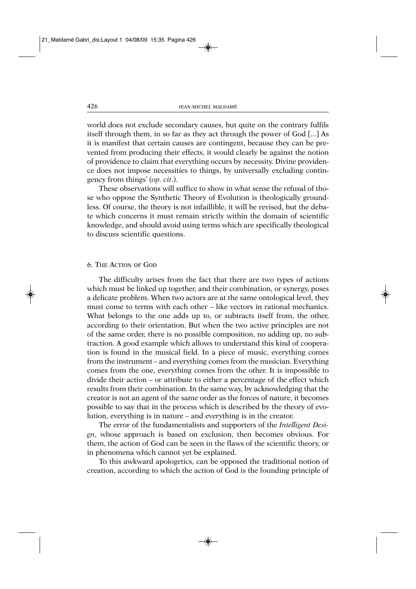world does not exclude secondary causes, but quite on the contrary fulfils itself through them, in so far as they act through the power of God [...] As it is manifest that certain causes are contingent, because they can be prevented from producing their effects, it would clearly be against the notion of providence to claim that everything occurs by necessity. Divine providence does not impose necessities to things, by universally excluding contingency from things' (*op. cit*.).

These observations will suffice to show in what sense the refusal of those who oppose the Synthetic Theory of Evolution is theologically groundless. Of course, the theory is not infaillible, it will be revised, but the debate which concerns it must remain strictly within the domain of scientific knowledge, and should avoid using terms which are specifically theological to discuss scientific questions.

## 6. THE ACTION OF GOD

The difficulty arises from the fact that there are two types of actions which must be linked up together, and their combination, or synergy, poses a delicate problem. When two actors are at the same ontological level, they must come to terms with each other – like vectors in rational mechanics. What belongs to the one adds up to, or subtracts itself from, the other, according to their orientation. But when the two active principles are not of the same order, there is no possible composition, no adding up, no subtraction. A good example which allows to understand this kind of cooperation is found in the musical field. In a piece of music, everything comes from the instrument – and everything comes from the musician. Everything comes from the one, everything comes from the other. It is impossible to divide their action – or attribute to either a percentage of the effect which results from their combination. In the same way, by acknowledging that the creator is not an agent of the same order as the forces of nature, it becomes possible to say that in the process which is described by the theory of evolution, everything is in nature – and everything is in the creator.

The error of the fundamentalists and supporters of the *Intelligent Design*, whose approach is based on exclusion, then becomes obvious. For them, the action of God can be seen in the flaws of the scientific theory, or in phenomena which cannot yet be explained.

To this awkward apologetics, can be opposed the traditional notion of creation, according to which the action of God is the founding principle of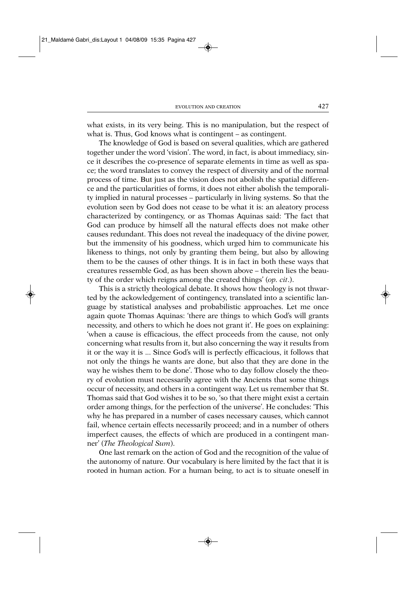what exists, in its very being. This is no manipulation, but the respect of what is. Thus, God knows what is contingent – as contingent.

The knowledge of God is based on several qualities, which are gathered together under the word 'vision'. The word, in fact, is about immediacy, since it describes the co-presence of separate elements in time as well as space; the word translates to convey the respect of diversity and of the normal process of time. But just as the vision does not abolish the spatial difference and the particularities of forms, it does not either abolish the temporality implied in natural processes – particularly in living systems. So that the evolution seen by God does not cease to be what it is: an aleatory process characterized by contingency, or as Thomas Aquinas said: 'The fact that God can produce by himself all the natural effects does not make other causes redundant. This does not reveal the inadequacy of the divine power, but the immensity of his goodness, which urged him to communicate his likeness to things, not only by granting them being, but also by allowing them to be the causes of other things. It is in fact in both these ways that creatures ressemble God, as has been shown above – therein lies the beauty of the order which reigns among the created things' (*op. cit*.).

This is a strictly theological debate. It shows how theology is not thwarted by the ackowledgement of contingency, translated into a scientific language by statistical analyses and probabilistic approaches. Let me once again quote Thomas Aquinas: 'there are things to which God's will grants necessity, and others to which he does not grant it'. He goes on explaining: 'when a cause is efficacious, the effect proceeds from the cause, not only concerning what results from it, but also concerning the way it results from it or the way it is ... Since God's will is perfectly efficacious, it follows that not only the things he wants are done, but also that they are done in the way he wishes them to be done'. Those who to day follow closely the theory of evolution must necessarily agree with the Ancients that some things occur of necessity, and others in a contingent way. Let us remember that St. Thomas said that God wishes it to be so, 'so that there might exist a certain order among things, for the perfection of the universe'. He concludes: 'This why he has prepared in a number of cases necessary causes, which cannot fail, whence certain effects necessarily proceed; and in a number of others imperfect causes, the effects of which are produced in a contingent manner' (*The Theological Sum*).

One last remark on the action of God and the recognition of the value of the autonomy of nature. Our vocabulary is here limited by the fact that it is rooted in human action. For a human being, to act is to situate oneself in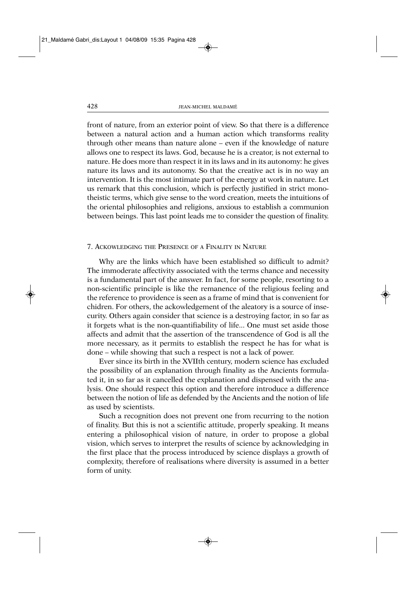front of nature, from an exterior point of view. So that there is a difference between a natural action and a human action which transforms reality through other means than nature alone – even if the knowledge of nature allows one to respect its laws. God, because he is a creator, is not external to nature. He does more than respect it in its laws and in its autonomy: he gives nature its laws and its autonomy. So that the creative act is in no way an intervention. It is the most intimate part of the energy at work in nature. Let us remark that this conclusion, which is perfectly justified in strict monotheistic terms, which give sense to the word creation, meets the intuitions of the oriental philosophies and religions, anxious to establish a communion between beings. This last point leads me to consider the question of finality.

#### 7. ACKOWLEDGING THE PRESENCE OF A FINALITY IN NATURE

Why are the links which have been established so difficult to admit? The immoderate affectivity associated with the terms chance and necessity is a fundamental part of the answer. In fact, for some people, resorting to a non-scientific principle is like the remanence of the religious feeling and the reference to providence is seen as a frame of mind that is convenient for chidren. For others, the ackowledgement of the aleatory is a source of insecurity. Others again consider that science is a destroying factor, in so far as it forgets what is the non-quantifiability of life... One must set aside those affects and admit that the assertion of the transcendence of God is all the more necessary, as it permits to establish the respect he has for what is done – while showing that such a respect is not a lack of power.

Ever since its birth in the XVIIth century, modern science has excluded the possibility of an explanation through finality as the Ancients formulated it, in so far as it cancelled the explanation and dispensed with the analysis. One should respect this option and therefore introduce a difference between the notion of life as defended by the Ancients and the notion of life as used by scientists.

Such a recognition does not prevent one from recurring to the notion of finality. But this is not a scientific attitude, properly speaking. It means entering a philosophical vision of nature, in order to propose a global vision, which serves to interpret the results of science by acknowledging in the first place that the process introduced by science displays a growth of complexity, therefore of realisations where diversity is assumed in a better form of unity.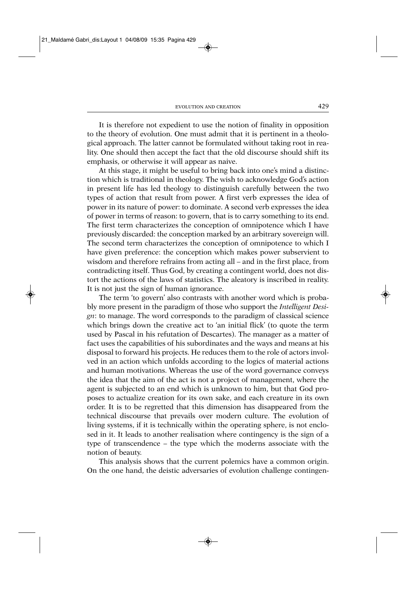It is therefore not expedient to use the notion of finality in opposition to the theory of evolution. One must admit that it is pertinent in a theological approach. The latter cannot be formulated without taking root in reality. One should then accept the fact that the old discourse should shift its emphasis, or otherwise it will appear as naive.

At this stage, it might be useful to bring back into one's mind a distinction which is traditional in theology. The wish to acknowledge God's action in present life has led theology to distinguish carefully between the two types of action that result from power. A first verb expresses the idea of power in its nature of power: to dominate. A second verb expresses the idea of power in terms of reason: to govern, that is to carry something to its end. The first term characterizes the conception of omnipotence which I have previously discarded: the conception marked by an arbitrary sovereign will. The second term characterizes the conception of omnipotence to which I have given preference: the conception which makes power subservient to wisdom and therefore refrains from acting all – and in the first place, from contradicting itself. Thus God, by creating a contingent world, does not distort the actions of the laws of statistics. The aleatory is inscribed in reality. It is not just the sign of human ignorance.

The term 'to govern' also contrasts with another word which is probably more present in the paradigm of those who support the *Intelligent Design*: to manage. The word corresponds to the paradigm of classical science which brings down the creative act to 'an initial flick' (to quote the term used by Pascal in his refutation of Descartes). The manager as a matter of fact uses the capabilities of his subordinates and the ways and means at his disposal to forward his projects. He reduces them to the role of actors involved in an action which unfolds according to the logics of material actions and human motivations. Whereas the use of the word governance conveys the idea that the aim of the act is not a project of management, where the agent is subjected to an end which is unknown to him, but that God proposes to actualize creation for its own sake, and each creature in its own order. It is to be regretted that this dimension has disappeared from the technical discourse that prevails over modern culture. The evolution of living systems, if it is technically within the operating sphere, is not enclosed in it. It leads to another realisation where contingency is the sign of a type of transcendence – the type which the moderns associate with the notion of beauty.

This analysis shows that the current polemics have a common origin. On the one hand, the deistic adversaries of evolution challenge contingen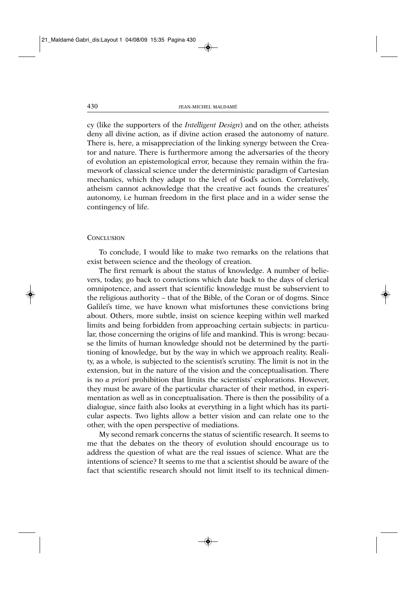cy (like the supporters of the *Intelligent Design*) and on the other, atheists deny all divine action, as if divine action erased the autonomy of nature. There is, here, a misappreciation of the linking synergy between the Creator and nature. There is furthermore among the adversaries of the theory of evolution an epistemological error, because they remain within the framework of classical science under the deterministic paradigm of Cartesian mechanics, which they adapt to the level of God's action. Correlatively, atheism cannot acknowledge that the creative act founds the creatures' autonomy, i.e human freedom in the first place and in a wider sense the contingency of life.

#### **CONCLUSION**

To conclude, I would like to make two remarks on the relations that exist between science and the theology of creation.

The first remark is about the status of knowledge. A number of believers, today, go back to convictions which date back to the days of clerical omnipotence, and assert that scientific knowledge must be subservient to the religious authority – that of the Bible, of the Coran or of dogms. Since Galilei's time, we have known what misfortunes these convictions bring about. Others, more subtle, insist on science keeping within well marked limits and being forbidden from approaching certain subjects: in particular, those concerning the origins of life and mankind. This is wrong: because the limits of human knowledge should not be determined by the partitioning of knowledge, but by the way in which we approach reality. Reality, as a whole, is subjected to the scientist's scrutiny. The limit is not in the extension, but in the nature of the vision and the conceptualisation. There is no *a priori* prohibition that limits the scientists' explorations. However, they must be aware of the particular character of their method, in experimentation as well as in conceptualisation. There is then the possibility of a dialogue, since faith also looks at everything in a light which has its particular aspects. Two lights allow a better vision and can relate one to the other, with the open perspective of mediations.

My second remark concerns the status of scientific research. It seems to me that the debates on the theory of evolution should encourage us to address the question of what are the real issues of science. What are the intentions of science? It seems to me that a scientist should be aware of the fact that scientific research should not limit itself to its technical dimen